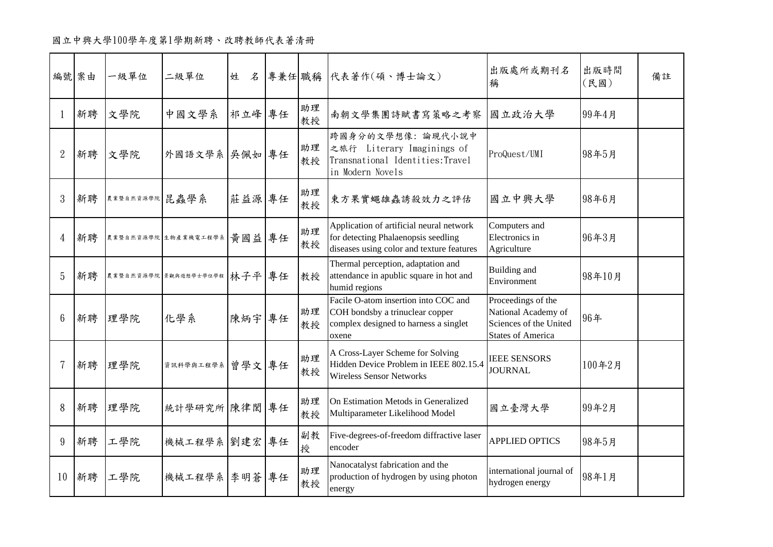|                 | 編號 案由 | 一級單位           | 二級單位                         | 姓<br>名 |          | 專兼任 職稱 代表著作(碩、博士論文)                                                                                                          | 出版處所或期刊名<br>稱                                                                                   | 出版時間<br>(民國) | 備註 |
|-----------------|-------|----------------|------------------------------|--------|----------|------------------------------------------------------------------------------------------------------------------------------|-------------------------------------------------------------------------------------------------|--------------|----|
|                 | 新聘    | 文學院            | 中國文學系                        | 祁立峰 專任 | 助理<br>教授 | 南朝文學集團詩賦書寫策略之考察                                                                                                              | 國立政治大學                                                                                          | 99年4月        |    |
| $\overline{2}$  | 新聘    | 文學院            | 外國語文學系 吴佩如 專任                |        | 助理<br>教授 | 跨國身分的文學想像:論現代小說中<br>之旅行 Literary Imaginings of<br>Transnational Identities: Travel<br>in Modern Novels                       | ProQuest/UMI                                                                                    | 98年5月        |    |
| 3               | 新聘    | 農業暨自然資源學院 昆蟲學系 |                              | 莊益源 專任 | 助理<br>教授 | 東方果實蠅雄蟲誘殺效力之評估                                                                                                               | 國立中興大學                                                                                          | 98年6月        |    |
| $\overline{4}$  | 新聘    |                | 農業暨自然資源學院 生物產業機電工程學系         | 黃國益 專任 | 助理<br>教授 | Application of artificial neural network<br>for detecting Phalaenopsis seedling<br>diseases using color and texture features | Computers and<br>Electronics in<br>Agriculture                                                  | 96年3月        |    |
| 5               | 新聘    |                | 農業暨自然資源學院 景觀與遊憩學士學位學程 林子平 專任 |        | 教授       | Thermal perception, adaptation and<br>attendance in apublic square in hot and<br>humid regions                               | Building and<br>Environment                                                                     | 98年10月       |    |
| $6\phantom{1}6$ | 新聘    | 理學院            | 化學系                          | 陳炳宇 專任 | 助理<br>教授 | Facile O-atom insertion into COC and<br>COH bondsby a trinuclear copper<br>complex designed to harness a singlet<br>oxene    | Proceedings of the<br>National Academy of<br>Sciences of the United<br><b>States of America</b> | 96年          |    |
|                 | 新聘    | 理學院            | 資訊科學與工程學系                    | 曾學文 專任 | 助理<br>教授 | A Cross-Layer Scheme for Solving<br>Hidden Device Problem in IEEE 802.15.4<br><b>Wireless Sensor Networks</b>                | <b>IEEE SENSORS</b><br><b>JOURNAL</b>                                                           | 100年2月       |    |
| 8               | 新聘    | 理學院            | 統計學研究所 陳律閣 專任                |        | 助理<br>教授 | On Estimation Metods in Generalized<br>Multiparameter Likelihood Model                                                       | 國立臺灣大學                                                                                          | 99年2月        |    |
| 9               | 新聘    | 工學院            | 機械工程學系 劉建宏 專任                |        | 副教<br>授  | Five-degrees-of-freedom diffractive laser<br>encoder                                                                         | <b>APPLIED OPTICS</b>                                                                           | 98年5月        |    |
| 10              | 新聘    | 工學院            | 機械工程學系 李明蒼 專任                |        | 助理<br>教授 | Nanocatalyst fabrication and the<br>production of hydrogen by using photon<br>energy                                         | international journal of<br>hydrogen energy                                                     | 98年1月        |    |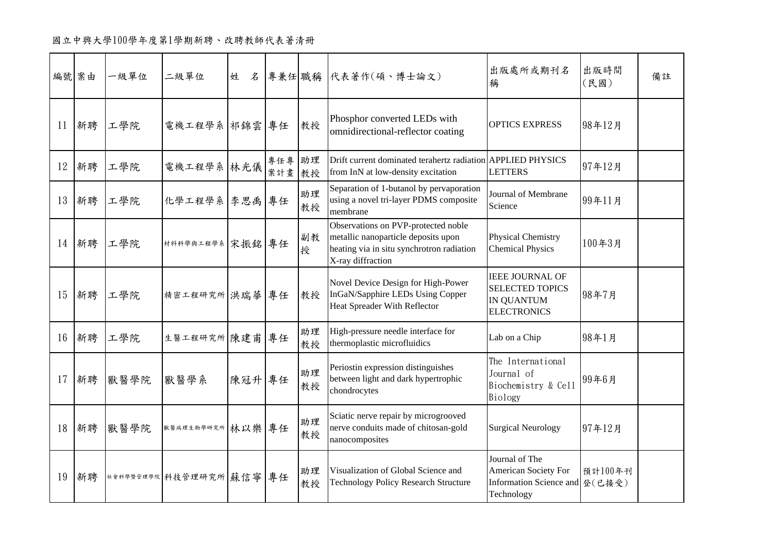|    | 編號 案由 | 一級單位 | 二級單位                     | $\mathcal{Z}$<br>姓 |                  |          | 專兼任 職稱 代表著作(碩、博士論文)                                                                                                                          | 出版處所或期刊名<br>稱                                                                                    | 出版時間<br>(民國) | 備註 |
|----|-------|------|--------------------------|--------------------|------------------|----------|----------------------------------------------------------------------------------------------------------------------------------------------|--------------------------------------------------------------------------------------------------|--------------|----|
| 11 | 新聘    | 工學院  | 電機工程學系 祁錦雲 專任            |                    |                  | 教授       | Phosphor converted LEDs with<br>omnidirectional-reflector coating                                                                            | <b>OPTICS EXPRESS</b>                                                                            | 98年12月       |    |
| 12 | 新聘    | 工學院  | 電機工程學系林光儀                |                    | 專任專 助理<br>案計畫 教授 |          | Drift current dominated terahertz radiation APPLIED PHYSICS<br>from InN at low-density excitation                                            | <b>LETTERS</b>                                                                                   | 97年12月       |    |
| 13 | 新聘    | 工學院  | 化學工程學系 李思禹 專任            |                    |                  | 助理<br>教授 | Separation of 1-butanol by pervaporation<br>using a novel tri-layer PDMS composite<br>membrane                                               | Journal of Membrane<br>Science                                                                   | 99年11月       |    |
|    | 14 新聘 | 工學院  | 材料料學與工程學系宋振銘專任           |                    |                  | 副教<br>授  | Observations on PVP-protected noble<br>metallic nanoparticle deposits upon<br>heating via in situ synchrotron radiation<br>X-ray diffraction | <b>Physical Chemistry</b><br><b>Chemical Physics</b>                                             | 100年3月       |    |
| 15 | 新聘    | 工學院  | 精密工程研究所 洪瑞華 專任           |                    |                  | 教授       | Novel Device Design for High-Power<br>InGaN/Sapphire LEDs Using Copper<br><b>Heat Spreader With Reflector</b>                                | <b>IEEE JOURNAL OF</b><br>SELECTED TOPICS<br><b>IN QUANTUM</b><br><b>ELECTRONICS</b>             | 98年7月        |    |
| 16 | 新聘    | 工學院  | 生醫工程研究所 陳建甫 專任           |                    |                  | 助理<br>教授 | High-pressure needle interface for<br>thermoplastic microfluidics                                                                            | Lab on a Chip                                                                                    | 98年1月        |    |
| 17 | 新聘    | 獸醫學院 | 獸醫學系                     | 陳冠升 專任             |                  | 助理<br>教授 | Periostin expression distinguishes<br>between light and dark hypertrophic<br>chondrocytes                                                    | The International<br>Journal of<br>Biochemistry & Cell<br>Biology                                | 99年6月        |    |
| 18 | 新聘    | 獸醫學院 | 默醫病理生物学研究所 林以樂 專任        |                    |                  | 助理<br>教授 | Sciatic nerve repair by microgrooved<br>nerve conduits made of chitosan-gold<br>nanocomposites                                               | <b>Surgical Neurology</b>                                                                        | 97年12月       |    |
| 19 | 新聘    |      | 社會科學暨管理學院 科技管理研究所 蘇信寧 專任 |                    |                  | 助理<br>教授 | Visualization of Global Science and<br><b>Technology Policy Research Structure</b>                                                           | Journal of The<br><b>American Society For</b><br>Information Science and   登 (已接受)<br>Technology | 預計100年刊      |    |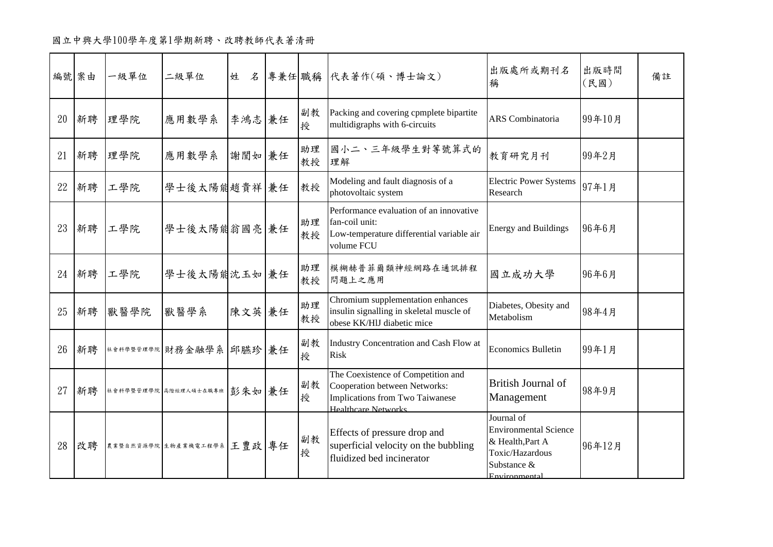|    | 編號 案由 | 一級單位 | 二級單位                        |        |          | 姓 名 專兼任 職稱 代表著作(碩、博士論文)                                                                                                              | 出版處所或期刊名<br>稱                                                                                                     | 出版時間<br>(民國) | 備註 |
|----|-------|------|-----------------------------|--------|----------|--------------------------------------------------------------------------------------------------------------------------------------|-------------------------------------------------------------------------------------------------------------------|--------------|----|
| 20 | 新聘    | 理學院  | 應用數學系                       | 李鴻志 兼任 | 副教<br>授  | Packing and covering cpmplete bipartite<br>multidigraphs with 6-circuits                                                             | ARS Combinatoria                                                                                                  | 99年10月       |    |
| 21 | 新聘    | 理學院  | 應用數學系                       | 謝閭如兼任  | 助理<br>教授 | 國小二、三年級學生對等號算式的<br>理解                                                                                                                | 教育研究月刊                                                                                                            | 99年2月        |    |
| 22 | 新聘    | 工學院  | 學士後太陽能趙貴祥 兼任                |        | 教授       | Modeling and fault diagnosis of a<br>photovoltaic system                                                                             | <b>Electric Power Systems</b><br>Research                                                                         | 97年1月        |    |
| 23 | 新聘    | 工學院  | 學士後太陽能翁國亮 兼任                |        | 助理<br>教授 | Performance evaluation of an innovative<br>fan-coil unit:<br>Low-temperature differential variable air<br>volume FCU                 | <b>Energy and Buildings</b>                                                                                       | 96年6月        |    |
| 24 | 新聘    | 工學院  | 學士後太陽能沈玉如兼任                 |        | 助理<br>教授 | 模糊赫普菲爾類神經網路在通訊排程<br>問題上之應用                                                                                                           | 國立成功大學                                                                                                            | 96年6月        |    |
| 25 | 新聘    | 獸醫學院 | 獸醫學系                        | 陳文英兼任  | 助理<br>教授 | Chromium supplementation enhances<br>insulin signalling in skeletal muscle of<br>obese KK/HIJ diabetic mice                          | Diabetes, Obesity and<br>Metabolism                                                                               | 98年4月        |    |
| 26 | 新聘    |      | 社食科學暨管理學院 財務金融學系 邱臙珍 兼任     |        | 副教<br>授  | Industry Concentration and Cash Flow at<br><b>Risk</b>                                                                               | <b>Economics Bulletin</b>                                                                                         | 99年1月        |    |
| 27 | 新聘    |      | 社会科学暨管理学院高階經理人碩士在職專班 彭朱如康任  |        | 副教<br>授  | The Coexistence of Competition and<br>Cooperation between Networks:<br>Implications from Two Taiwanese<br><b>Healthcare Networks</b> | British Journal of<br>Management                                                                                  | 98年9月        |    |
| 28 | 改聘    |      | 農業暨自然資源學院 生物产業機電工程學系 王豊政 專任 |        | 副教<br>授  | Effects of pressure drop and<br>superficial velocity on the bubbling<br>fluidized bed incinerator                                    | Journal of<br><b>Environmental Science</b><br>& Health, Part A<br>Toxic/Hazardous<br>Substance &<br>Environmental | 96年12月       |    |